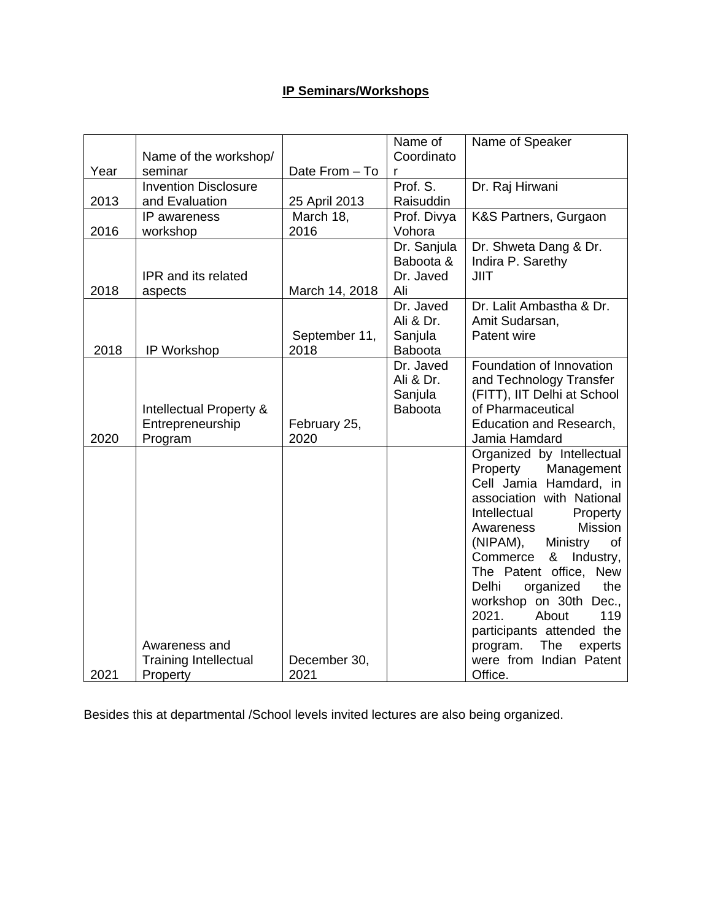## **IP Seminars/Workshops**

|      |                                        |                | Name of                | Name of Speaker                                     |
|------|----------------------------------------|----------------|------------------------|-----------------------------------------------------|
|      | Name of the workshop/                  |                | Coordinato             |                                                     |
| Year | seminar<br><b>Invention Disclosure</b> | Date From - To | r<br>Prof. S.          | Dr. Raj Hirwani                                     |
| 2013 | and Evaluation                         | 25 April 2013  | Raisuddin              |                                                     |
|      | IP awareness                           | March 18,      | Prof. Divya            | K&S Partners, Gurgaon                               |
| 2016 | workshop                               | 2016           | Vohora                 |                                                     |
|      |                                        |                | Dr. Sanjula            | Dr. Shweta Dang & Dr.                               |
|      |                                        |                | Baboota &              | Indira P. Sarethy                                   |
|      | IPR and its related                    |                | Dr. Javed              | JIIT                                                |
| 2018 | aspects                                | March 14, 2018 | Ali                    |                                                     |
|      |                                        |                | Dr. Javed<br>Ali & Dr. | Dr. Lalit Ambastha & Dr.<br>Amit Sudarsan,          |
|      |                                        | September 11,  | Sanjula                | Patent wire                                         |
| 2018 | IP Workshop                            | 2018           | Baboota                |                                                     |
|      |                                        |                | Dr. Javed              | Foundation of Innovation                            |
|      |                                        |                | Ali & Dr.              | and Technology Transfer                             |
|      |                                        |                | Sanjula                | (FITT), IIT Delhi at School                         |
|      | Intellectual Property &                |                | <b>Baboota</b>         | of Pharmaceutical                                   |
|      | Entrepreneurship                       | February 25,   |                        | Education and Research,                             |
| 2020 | Program                                | 2020           |                        | Jamia Hamdard                                       |
|      |                                        |                |                        | Organized by Intellectual<br>Management<br>Property |
|      |                                        |                |                        | Cell Jamia Hamdard, in                              |
|      |                                        |                |                        | association with National                           |
|      |                                        |                |                        | Property<br>Intellectual                            |
|      |                                        |                |                        | <b>Mission</b><br>Awareness                         |
|      |                                        |                |                        | (NIPAM),<br>Ministry<br>of                          |
|      |                                        |                |                        | &<br>Industry,<br>Commerce                          |
|      |                                        |                |                        | The Patent office, New                              |
|      |                                        |                |                        | organized<br>the<br><b>Delhi</b>                    |
|      |                                        |                |                        | workshop on 30th Dec.,<br>2021.<br>About<br>119     |
|      |                                        |                |                        | participants attended the                           |
|      | Awareness and                          |                |                        | program. The<br>experts                             |
|      | <b>Training Intellectual</b>           | December 30,   |                        | were from Indian Patent                             |
| 2021 | Property                               | 2021           |                        | Office.                                             |

Besides this at departmental /School levels invited lectures are also being organized.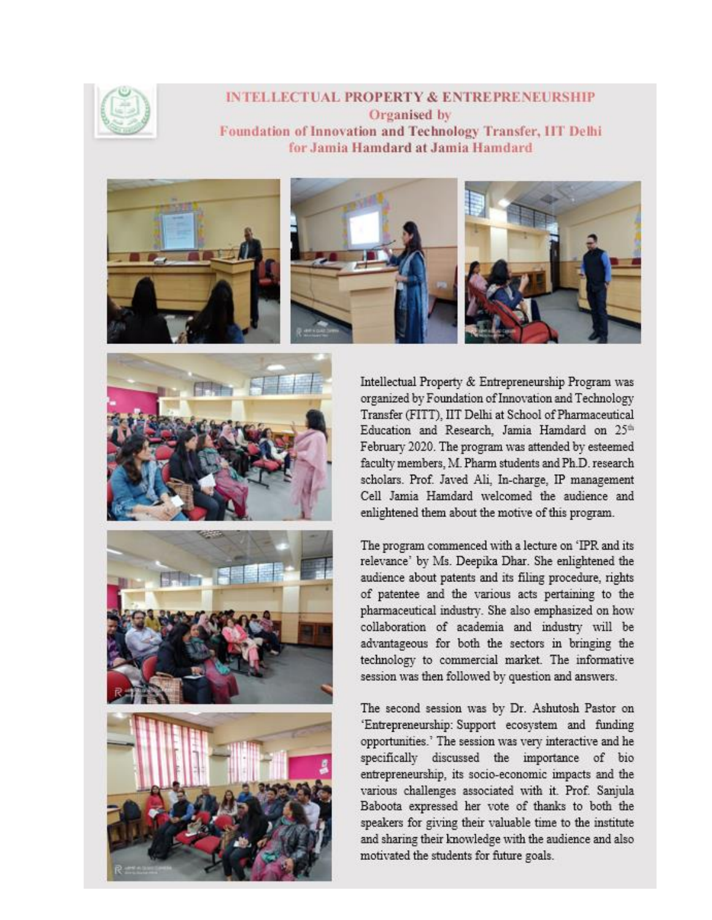

**INTELLECTUAL PROPERTY & ENTREPRENEURSHIP** Organised by Foundation of Innovation and Technology Transfer, HT Delhi for Jamia Hamdard at Jamia Hamdard









Intellectual Property & Entrepreneurship Program was organized by Foundation of Innovation and Technology Transfer (FITT). IIT Delhi at School of Pharmaceutical Education and Research. Jamia Hamdard on 25th February 2020. The program was attended by esteemed faculty members, M. Pharm students and Ph.D. research scholars. Prof. Javed Ali, In-charge, IP management Cell Jamia Hamdard welcomed the audience and enlightened them about the motive of this program.

The program commenced with a lecture on 'IPR and its relevance' by Ms. Deepika Dhar. She enlightened the audience about patents and its filing procedure, rights of patentee and the various acts pertaining to the pharmaceutical industry. She also emphasized on how collaboration of academia and industry will be advantageous for both the sectors in bringing the technology to commercial market. The informative session was then followed by question and answers.

The second session was by Dr. Ashutosh Pastor on 'Entrepreneurship: Support ecosystem and funding opportunities.' The session was very interactive and he specifically discussed the importance of bio entrepreneurship, its socio-economic impacts and the various challenges associated with it. Prof. Sanjula Baboota expressed her vote of thanks to both the speakers for giving their valuable time to the institute and sharing their knowledge with the audience and also motivated the students for future goals.